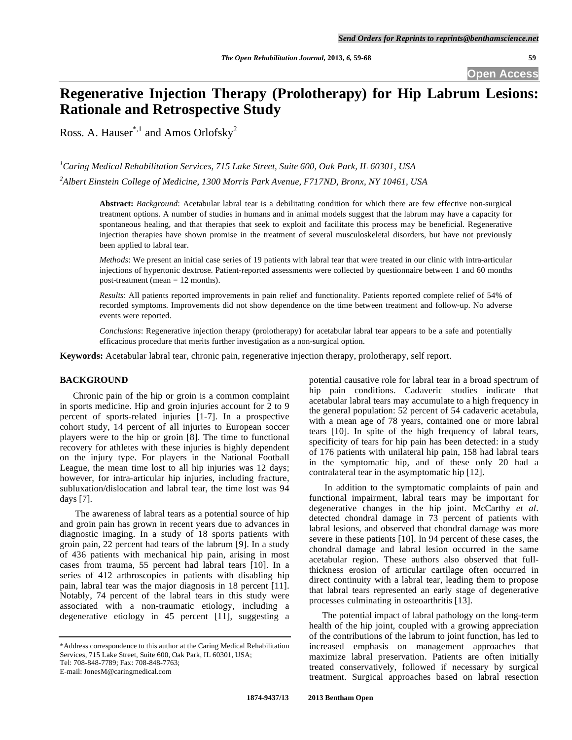**Open Access** 

# **Regenerative Injection Therapy (Prolotherapy) for Hip Labrum Lesions: Rationale and Retrospective Study**

Ross. A. Hauser<sup>\*,1</sup> and Amos Orlofsky<sup>2</sup>

*1 Caring Medical Rehabilitation Services, 715 Lake Street, Suite 600, Oak Park, IL 60301, USA 2 Albert Einstein College of Medicine, 1300 Morris Park Avenue, F717ND, Bronx, NY 10461, USA* 

> **Abstract:** *Background*: Acetabular labral tear is a debilitating condition for which there are few effective non-surgical treatment options. A number of studies in humans and in animal models suggest that the labrum may have a capacity for spontaneous healing, and that therapies that seek to exploit and facilitate this process may be beneficial. Regenerative injection therapies have shown promise in the treatment of several musculoskeletal disorders, but have not previously been applied to labral tear.

> *Methods*: We present an initial case series of 19 patients with labral tear that were treated in our clinic with intra-articular injections of hypertonic dextrose. Patient-reported assessments were collected by questionnaire between 1 and 60 months post-treatment (mean = 12 months).

> *Results*: All patients reported improvements in pain relief and functionality. Patients reported complete relief of 54% of recorded symptoms. Improvements did not show dependence on the time between treatment and follow-up. No adverse events were reported.

> *Conclusions*: Regenerative injection therapy (prolotherapy) for acetabular labral tear appears to be a safe and potentially efficacious procedure that merits further investigation as a non-surgical option.

**Keywords:** Acetabular labral tear, chronic pain, regenerative injection therapy, prolotherapy, self report.

# **BACKGROUND**

 Chronic pain of the hip or groin is a common complaint in sports medicine. Hip and groin injuries account for 2 to 9 percent of sports-related injuries [1-7]. In a prospective cohort study, 14 percent of all injuries to European soccer players were to the hip or groin [8]. The time to functional recovery for athletes with these injuries is highly dependent on the injury type. For players in the National Football League, the mean time lost to all hip injuries was 12 days; however, for intra-articular hip injuries, including fracture, subluxation/dislocation and labral tear, the time lost was 94 days [7].

 The awareness of labral tears as a potential source of hip and groin pain has grown in recent years due to advances in diagnostic imaging. In a study of 18 sports patients with groin pain, 22 percent had tears of the labrum [9]. In a study of 436 patients with mechanical hip pain, arising in most cases from trauma, 55 percent had labral tears [10]. In a series of 412 arthroscopies in patients with disabling hip pain, labral tear was the major diagnosis in 18 percent [11]. Notably, 74 percent of the labral tears in this study were associated with a non-traumatic etiology, including a degenerative etiology in 45 percent [11], suggesting a

potential causative role for labral tear in a broad spectrum of hip pain conditions. Cadaveric studies indicate that acetabular labral tears may accumulate to a high frequency in the general population: 52 percent of 54 cadaveric acetabula, with a mean age of 78 years, contained one or more labral tears [10]. In spite of the high frequency of labral tears, specificity of tears for hip pain has been detected: in a study of 176 patients with unilateral hip pain, 158 had labral tears in the symptomatic hip, and of these only 20 had a contralateral tear in the asymptomatic hip [12].

 In addition to the symptomatic complaints of pain and functional impairment, labral tears may be important for degenerative changes in the hip joint. McCarthy *et al*. detected chondral damage in 73 percent of patients with labral lesions, and observed that chondral damage was more severe in these patients [10]. In 94 percent of these cases, the chondral damage and labral lesion occurred in the same acetabular region. These authors also observed that fullthickness erosion of articular cartilage often occurred in direct continuity with a labral tear, leading them to propose that labral tears represented an early stage of degenerative processes culminating in osteoarthritis [13].

 The potential impact of labral pathology on the long-term health of the hip joint, coupled with a growing appreciation of the contributions of the labrum to joint function, has led to increased emphasis on management approaches that maximize labral preservation. Patients are often initially treated conservatively, followed if necessary by surgical treatment. Surgical approaches based on labral resection

<sup>\*</sup>Address correspondence to this author at the Caring Medical Rehabilitation Services, 715 Lake Street, Suite 600, Oak Park, IL 60301, USA; Tel: 708-848-7789; Fax: 708-848-7763; E-mail: JonesM@caringmedical.com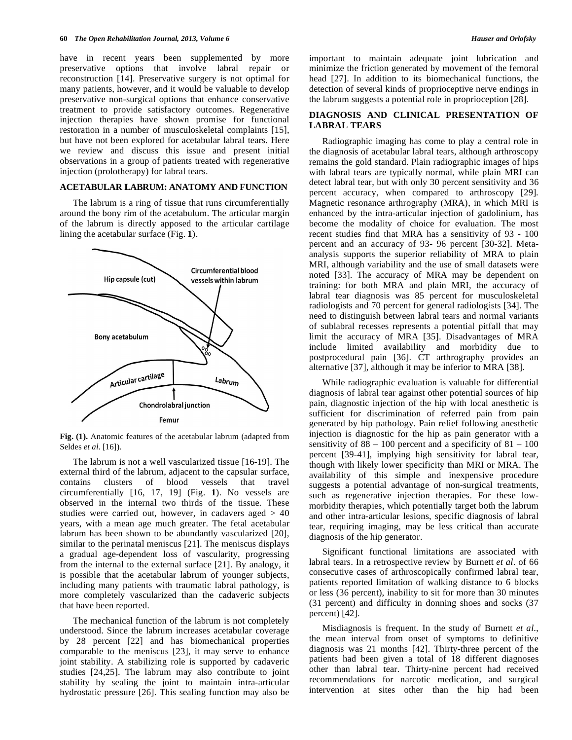have in recent years been supplemented by more preservative options that involve labral repair or reconstruction [14]. Preservative surgery is not optimal for many patients, however, and it would be valuable to develop preservative non-surgical options that enhance conservative treatment to provide satisfactory outcomes. Regenerative injection therapies have shown promise for functional restoration in a number of musculoskeletal complaints [15], but have not been explored for acetabular labral tears. Here we review and discuss this issue and present initial observations in a group of patients treated with regenerative injection (prolotherapy) for labral tears.

# **ACETABULAR LABRUM: ANATOMY AND FUNCTION**

 The labrum is a ring of tissue that runs circumferentially around the bony rim of the acetabulum. The articular margin of the labrum is directly apposed to the articular cartilage lining the acetabular surface (Fig. **1**).



**Fig. (1).** Anatomic features of the acetabular labrum (adapted from Seldes *et al*. [16]).

 The labrum is not a well vascularized tissue [16-19]. The external third of the labrum, adjacent to the capsular surface, contains clusters of blood vessels that travel circumferentially [16, 17, 19] (Fig. **1**). No vessels are observed in the internal two thirds of the tissue. These studies were carried out, however, in cadavers aged > 40 years, with a mean age much greater. The fetal acetabular labrum has been shown to be abundantly vascularized [20], similar to the perinatal meniscus [21]. The meniscus displays a gradual age-dependent loss of vascularity, progressing from the internal to the external surface [21]. By analogy, it is possible that the acetabular labrum of younger subjects, including many patients with traumatic labral pathology, is more completely vascularized than the cadaveric subjects that have been reported.

 The mechanical function of the labrum is not completely understood. Since the labrum increases acetabular coverage by 28 percent [22] and has biomechanical properties comparable to the meniscus [23], it may serve to enhance joint stability. A stabilizing role is supported by cadaveric studies [24,25]. The labrum may also contribute to joint stability by sealing the joint to maintain intra-articular hydrostatic pressure [26]. This sealing function may also be

important to maintain adequate joint lubrication and minimize the friction generated by movement of the femoral head [27]. In addition to its biomechanical functions, the detection of several kinds of proprioceptive nerve endings in the labrum suggests a potential role in proprioception [28].

# **DIAGNOSIS AND CLINICAL PRESENTATION OF LABRAL TEARS**

 Radiographic imaging has come to play a central role in the diagnosis of acetabular labral tears, although arthroscopy remains the gold standard. Plain radiographic images of hips with labral tears are typically normal, while plain MRI can detect labral tear, but with only 30 percent sensitivity and 36 percent accuracy, when compared to arthroscopy [29]. Magnetic resonance arthrography (MRA), in which MRI is enhanced by the intra-articular injection of gadolinium, has become the modality of choice for evaluation. The most recent studies find that MRA has a sensitivity of 93 - 100 percent and an accuracy of 93- 96 percent [30-32]. Metaanalysis supports the superior reliability of MRA to plain MRI, although variability and the use of small datasets were noted [33]. The accuracy of MRA may be dependent on training: for both MRA and plain MRI, the accuracy of labral tear diagnosis was 85 percent for musculoskeletal radiologists and 70 percent for general radiologists [34]. The need to distinguish between labral tears and normal variants of sublabral recesses represents a potential pitfall that may limit the accuracy of MRA [35]. Disadvantages of MRA include limited availability and morbidity due to postprocedural pain [36]. CT arthrography provides an alternative [37], although it may be inferior to MRA [38].

 While radiographic evaluation is valuable for differential diagnosis of labral tear against other potential sources of hip pain, diagnostic injection of the hip with local anesthetic is sufficient for discrimination of referred pain from pain generated by hip pathology. Pain relief following anesthetic injection is diagnostic for the hip as pain generator with a sensitivity of  $88 - 100$  percent and a specificity of  $81 - 100$ percent [39-41], implying high sensitivity for labral tear, though with likely lower specificity than MRI or MRA. The availability of this simple and inexpensive procedure suggests a potential advantage of non-surgical treatments, such as regenerative injection therapies. For these lowmorbidity therapies, which potentially target both the labrum and other intra-articular lesions, specific diagnosis of labral tear, requiring imaging, may be less critical than accurate diagnosis of the hip generator.

 Significant functional limitations are associated with labral tears. In a retrospective review by Burnett *et al*. of 66 consecutive cases of arthroscopically confirmed labral tear, patients reported limitation of walking distance to 6 blocks or less (36 percent), inability to sit for more than 30 minutes (31 percent) and difficulty in donning shoes and socks (37 percent) [42].

 Misdiagnosis is frequent. In the study of Burnett *et al*., the mean interval from onset of symptoms to definitive diagnosis was 21 months [42]. Thirty-three percent of the patients had been given a total of 18 different diagnoses other than labral tear. Thirty-nine percent had received recommendations for narcotic medication, and surgical intervention at sites other than the hip had been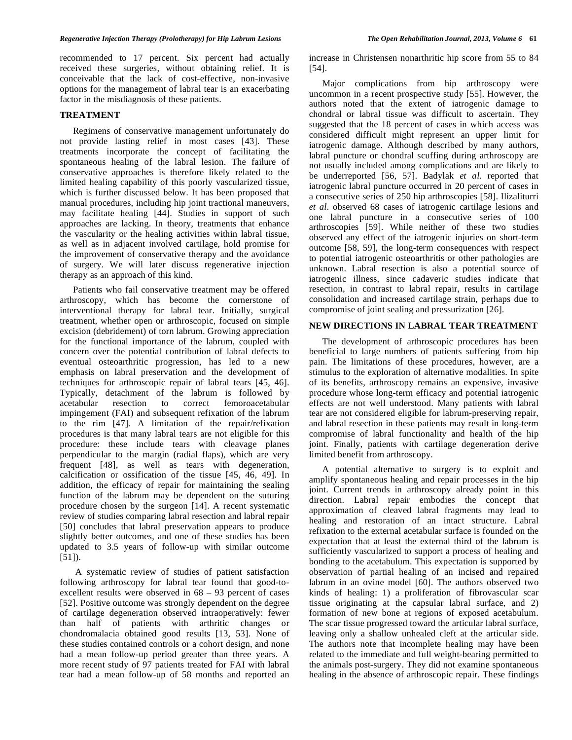recommended to 17 percent. Six percent had actually received these surgeries, without obtaining relief. It is conceivable that the lack of cost-effective, non-invasive options for the management of labral tear is an exacerbating factor in the misdiagnosis of these patients.

# **TREATMENT**

 Regimens of conservative management unfortunately do not provide lasting relief in most cases [43]. These treatments incorporate the concept of facilitating the spontaneous healing of the labral lesion. The failure of conservative approaches is therefore likely related to the limited healing capability of this poorly vascularized tissue, which is further discussed below. It has been proposed that manual procedures, including hip joint tractional maneuvers, may facilitate healing [44]. Studies in support of such approaches are lacking. In theory, treatments that enhance the vascularity or the healing activities within labral tissue, as well as in adjacent involved cartilage, hold promise for the improvement of conservative therapy and the avoidance of surgery. We will later discuss regenerative injection therapy as an approach of this kind.

 Patients who fail conservative treatment may be offered arthroscopy, which has become the cornerstone of interventional therapy for labral tear. Initially, surgical treatment, whether open or arthroscopic, focused on simple excision (debridement) of torn labrum. Growing appreciation for the functional importance of the labrum, coupled with concern over the potential contribution of labral defects to eventual osteoarthritic progression, has led to a new emphasis on labral preservation and the development of techniques for arthroscopic repair of labral tears [45, 46]. Typically, detachment of the labrum is followed by acetabular resection to correct femoroacetabular impingement (FAI) and subsequent refixation of the labrum to the rim [47]. A limitation of the repair/refixation procedures is that many labral tears are not eligible for this procedure: these include tears with cleavage planes perpendicular to the margin (radial flaps), which are very frequent [48], as well as tears with degeneration, calcification or ossification of the tissue [45, 46, 49]. In addition, the efficacy of repair for maintaining the sealing function of the labrum may be dependent on the suturing procedure chosen by the surgeon [14]. A recent systematic review of studies comparing labral resection and labral repair [50] concludes that labral preservation appears to produce slightly better outcomes, and one of these studies has been updated to 3.5 years of follow-up with similar outcome [51]).

 A systematic review of studies of patient satisfaction following arthroscopy for labral tear found that good-toexcellent results were observed in 68 – 93 percent of cases [52]. Positive outcome was strongly dependent on the degree of cartilage degeneration observed intraoperatively: fewer than half of patients with arthritic changes or chondromalacia obtained good results [13, 53]. None of these studies contained controls or a cohort design, and none had a mean follow-up period greater than three years. A more recent study of 97 patients treated for FAI with labral tear had a mean follow-up of 58 months and reported an increase in Christensen nonarthritic hip score from 55 to 84 [54].

 Major complications from hip arthroscopy were uncommon in a recent prospective study [55]. However, the authors noted that the extent of iatrogenic damage to chondral or labral tissue was difficult to ascertain. They suggested that the 18 percent of cases in which access was considered difficult might represent an upper limit for iatrogenic damage. Although described by many authors, labral puncture or chondral scuffing during arthroscopy are not usually included among complications and are likely to be underreported [56, 57]. Badylak *et al*. reported that iatrogenic labral puncture occurred in 20 percent of cases in a consecutive series of 250 hip arthroscopies [58]. Ilizaliturri *et al*. observed 68 cases of iatrogenic cartilage lesions and one labral puncture in a consecutive series of 100 arthroscopies [59]. While neither of these two studies observed any effect of the iatrogenic injuries on short-term outcome [58, 59], the long-term consequences with respect to potential iatrogenic osteoarthritis or other pathologies are unknown. Labral resection is also a potential source of iatrogenic illness, since cadaveric studies indicate that resection, in contrast to labral repair, results in cartilage consolidation and increased cartilage strain, perhaps due to compromise of joint sealing and pressurization [26].

# **NEW DIRECTIONS IN LABRAL TEAR TREATMENT**

 The development of arthroscopic procedures has been beneficial to large numbers of patients suffering from hip pain. The limitations of these procedures, however, are a stimulus to the exploration of alternative modalities. In spite of its benefits, arthroscopy remains an expensive, invasive procedure whose long-term efficacy and potential iatrogenic effects are not well understood. Many patients with labral tear are not considered eligible for labrum-preserving repair, and labral resection in these patients may result in long-term compromise of labral functionality and health of the hip joint. Finally, patients with cartilage degeneration derive limited benefit from arthroscopy.

 A potential alternative to surgery is to exploit and amplify spontaneous healing and repair processes in the hip joint. Current trends in arthroscopy already point in this direction. Labral repair embodies the concept that approximation of cleaved labral fragments may lead to healing and restoration of an intact structure. Labral refixation to the external acetabular surface is founded on the expectation that at least the external third of the labrum is sufficiently vascularized to support a process of healing and bonding to the acetabulum. This expectation is supported by observation of partial healing of an incised and repaired labrum in an ovine model [60]. The authors observed two kinds of healing: 1) a proliferation of fibrovascular scar tissue originating at the capsular labral surface, and 2) formation of new bone at regions of exposed acetabulum. The scar tissue progressed toward the articular labral surface, leaving only a shallow unhealed cleft at the articular side. The authors note that incomplete healing may have been related to the immediate and full weight-bearing permitted to the animals post-surgery. They did not examine spontaneous healing in the absence of arthroscopic repair. These findings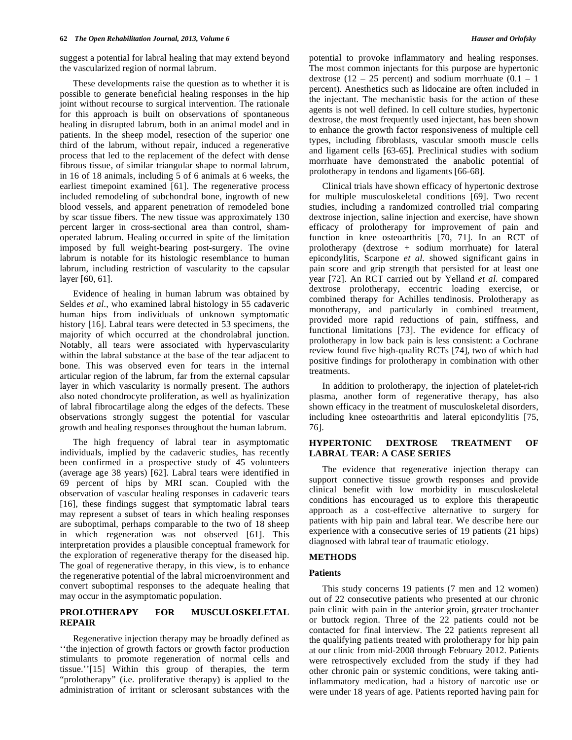suggest a potential for labral healing that may extend beyond the vascularized region of normal labrum.

 These developments raise the question as to whether it is possible to generate beneficial healing responses in the hip joint without recourse to surgical intervention. The rationale for this approach is built on observations of spontaneous healing in disrupted labrum, both in an animal model and in patients. In the sheep model, resection of the superior one third of the labrum, without repair, induced a regenerative process that led to the replacement of the defect with dense fibrous tissue, of similar triangular shape to normal labrum, in 16 of 18 animals, including 5 of 6 animals at 6 weeks, the earliest timepoint examined [61]. The regenerative process included remodeling of subchondral bone, ingrowth of new blood vessels, and apparent penetration of remodeled bone by scar tissue fibers. The new tissue was approximately 130 percent larger in cross-sectional area than control, shamoperated labrum. Healing occurred in spite of the limitation imposed by full weight-bearing post-surgery. The ovine labrum is notable for its histologic resemblance to human labrum, including restriction of vascularity to the capsular layer [60, 61].

 Evidence of healing in human labrum was obtained by Seldes *et al*., who examined labral histology in 55 cadaveric human hips from individuals of unknown symptomatic history [16]. Labral tears were detected in 53 specimens, the majority of which occurred at the chondrolabral junction. Notably, all tears were associated with hypervascularity within the labral substance at the base of the tear adjacent to bone. This was observed even for tears in the internal articular region of the labrum, far from the external capsular layer in which vascularity is normally present. The authors also noted chondrocyte proliferation, as well as hyalinization of labral fibrocartilage along the edges of the defects. These observations strongly suggest the potential for vascular growth and healing responses throughout the human labrum.

 The high frequency of labral tear in asymptomatic individuals, implied by the cadaveric studies, has recently been confirmed in a prospective study of 45 volunteers (average age 38 years) [62]. Labral tears were identified in 69 percent of hips by MRI scan. Coupled with the observation of vascular healing responses in cadaveric tears [16], these findings suggest that symptomatic labral tears may represent a subset of tears in which healing responses are suboptimal, perhaps comparable to the two of 18 sheep in which regeneration was not observed [61]. This interpretation provides a plausible conceptual framework for the exploration of regenerative therapy for the diseased hip. The goal of regenerative therapy, in this view, is to enhance the regenerative potential of the labral microenvironment and convert suboptimal responses to the adequate healing that may occur in the asymptomatic population.

# **PROLOTHERAPY FOR MUSCULOSKELETAL REPAIR**

 Regenerative injection therapy may be broadly defined as ''the injection of growth factors or growth factor production stimulants to promote regeneration of normal cells and tissue.''[15] Within this group of therapies, the term "prolotherapy" (i.e. proliferative therapy) is applied to the administration of irritant or sclerosant substances with the

potential to provoke inflammatory and healing responses. The most common injectants for this purpose are hypertonic dextrose  $(12 - 25$  percent) and sodium morrhuate  $(0.1 - 1)$ percent). Anesthetics such as lidocaine are often included in the injectant. The mechanistic basis for the action of these agents is not well defined. In cell culture studies, hypertonic dextrose, the most frequently used injectant, has been shown to enhance the growth factor responsiveness of multiple cell types, including fibroblasts, vascular smooth muscle cells and ligament cells [63-65]. Preclinical studies with sodium morrhuate have demonstrated the anabolic potential of prolotherapy in tendons and ligaments [66-68].

 Clinical trials have shown efficacy of hypertonic dextrose for multiple musculoskeletal conditions [69]. Two recent studies, including a randomized controlled trial comparing dextrose injection, saline injection and exercise, have shown efficacy of prolotherapy for improvement of pain and function in knee osteoarthritis [70, 71]. In an RCT of prolotherapy (dextrose + sodium morrhuate) for lateral epicondylitis, Scarpone *et al*. showed significant gains in pain score and grip strength that persisted for at least one year [72]. An RCT carried out by Yelland *et al*. compared dextrose prolotherapy, eccentric loading exercise, or combined therapy for Achilles tendinosis. Prolotherapy as monotherapy, and particularly in combined treatment, provided more rapid reductions of pain, stiffness, and functional limitations [73]. The evidence for efficacy of prolotherapy in low back pain is less consistent: a Cochrane review found five high-quality RCTs [74], two of which had positive findings for prolotherapy in combination with other treatments.

 In addition to prolotherapy, the injection of platelet-rich plasma, another form of regenerative therapy, has also shown efficacy in the treatment of musculoskeletal disorders, including knee osteoarthritis and lateral epicondylitis [75, 76].

# **HYPERTONIC DEXTROSE TREATMENT OF LABRAL TEAR: A CASE SERIES**

 The evidence that regenerative injection therapy can support connective tissue growth responses and provide clinical benefit with low morbidity in musculoskeletal conditions has encouraged us to explore this therapeutic approach as a cost-effective alternative to surgery for patients with hip pain and labral tear. We describe here our experience with a consecutive series of 19 patients (21 hips) diagnosed with labral tear of traumatic etiology.

## **METHODS**

## **Patients**

 This study concerns 19 patients (7 men and 12 women) out of 22 consecutive patients who presented at our chronic pain clinic with pain in the anterior groin, greater trochanter or buttock region. Three of the 22 patients could not be contacted for final interview. The 22 patients represent all the qualifying patients treated with prolotherapy for hip pain at our clinic from mid-2008 through February 2012. Patients were retrospectively excluded from the study if they had other chronic pain or systemic conditions, were taking antiinflammatory medication, had a history of narcotic use or were under 18 years of age. Patients reported having pain for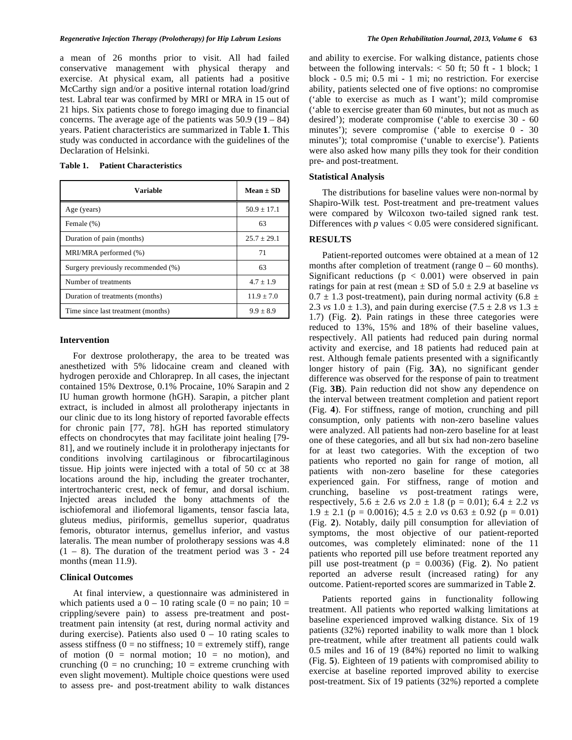#### *Regenerative Injection Therapy (Prolotherapy) for Hip Labrum Lesions The Open Rehabilitation Journal, 2013, Volume 6* **63**

a mean of 26 months prior to visit. All had failed conservative management with physical therapy and exercise. At physical exam, all patients had a positive McCarthy sign and/or a positive internal rotation load/grind test. Labral tear was confirmed by MRI or MRA in 15 out of 21 hips. Six patients chose to forego imaging due to financial concerns. The average age of the patients was  $50.9$  ( $19 - 84$ ) years. Patient characteristics are summarized in Table **1**. This study was conducted in accordance with the guidelines of the Declaration of Helsinki.

# **Table 1. Patient Characteristics**

| <b>Variable</b>                    | Mean $\pm$ SD |
|------------------------------------|---------------|
| Age (years)                        | $50.9 + 17.1$ |
| Female (%)                         | 63            |
| Duration of pain (months)          | $25.7 + 29.1$ |
| MRI/MRA performed (%)              | 71            |
| Surgery previously recommended (%) | 63            |
| Number of treatments               | $4.7 \pm 1.9$ |
| Duration of treatments (months)    | $11.9 + 7.0$  |
| Time since last treatment (months) | $9.9 + 8.9$   |

#### **Intervention**

 For dextrose prolotherapy, the area to be treated was anesthetized with 5% lidocaine cream and cleaned with hydrogen peroxide and Chloraprep. In all cases, the injectant contained 15% Dextrose, 0.1% Procaine, 10% Sarapin and 2 IU human growth hormone (hGH). Sarapin, a pitcher plant extract, is included in almost all prolotherapy injectants in our clinic due to its long history of reported favorable effects for chronic pain [77, 78]. hGH has reported stimulatory effects on chondrocytes that may facilitate joint healing [79- 81], and we routinely include it in prolotherapy injectants for conditions involving cartilaginous or fibrocartilaginous tissue. Hip joints were injected with a total of 50 cc at 38 locations around the hip, including the greater trochanter, intertrochanteric crest, neck of femur, and dorsal ischium. Injected areas included the bony attachments of the ischiofemoral and iliofemoral ligaments, tensor fascia lata, gluteus medius, piriformis, gemellus superior, quadratus femoris, obturator internus, gemellus inferior, and vastus lateralis. The mean number of prolotherapy sessions was 4.8  $(1 - 8)$ . The duration of the treatment period was  $3 - 24$ months (mean 11.9).

# **Clinical Outcomes**

 At final interview, a questionnaire was administered in which patients used a  $0 - 10$  rating scale  $(0 = no \,\text{pain}; 10 =$ crippling/severe pain) to assess pre-treatment and posttreatment pain intensity (at rest, during normal activity and during exercise). Patients also used  $0 - 10$  rating scales to assess stiffness ( $0 = no$  stiffness;  $10 =$  extremely stiff), range of motion  $(0 = normal motion; 10 = no motion)$ , and crunching ( $0 =$  no crunching;  $10 =$  extreme crunching with even slight movement). Multiple choice questions were used to assess pre- and post-treatment ability to walk distances

and ability to exercise. For walking distance, patients chose between the following intervals:  $<$  50 ft; 50 ft - 1 block; 1 block - 0.5 mi; 0.5 mi - 1 mi; no restriction. For exercise ability, patients selected one of five options: no compromise ('able to exercise as much as I want'); mild compromise ('able to exercise greater than 60 minutes, but not as much as desired'); moderate compromise ('able to exercise 30 - 60 minutes'); severe compromise ('able to exercise 0 - 30 minutes'); total compromise ('unable to exercise'). Patients were also asked how many pills they took for their condition pre- and post-treatment.

#### **Statistical Analysis**

 The distributions for baseline values were non-normal by Shapiro-Wilk test. Post-treatment and pre-treatment values were compared by Wilcoxon two-tailed signed rank test. Differences with *p* values < 0.05 were considered significant.

# **RESULTS**

 Patient-reported outcomes were obtained at a mean of 12 months after completion of treatment (range  $0 - 60$  months). Significant reductions ( $p < 0.001$ ) were observed in pain ratings for pain at rest (mean  $\pm$  SD of 5.0  $\pm$  2.9 at baseline *vs*  $0.7 \pm 1.3$  post-treatment), pain during normal activity (6.8  $\pm$ 2.3 *vs*  $1.0 \pm 1.3$ ), and pain during exercise  $(7.5 \pm 2.8 \text{ vs } 1.3 \pm 1.3 \text{ s})$ 1.7) (Fig. **2**). Pain ratings in these three categories were reduced to 13%, 15% and 18% of their baseline values, respectively. All patients had reduced pain during normal activity and exercise, and 18 patients had reduced pain at rest. Although female patients presented with a significantly longer history of pain (Fig. **3A**), no significant gender difference was observed for the response of pain to treatment (Fig. **3B**). Pain reduction did not show any dependence on the interval between treatment completion and patient report (Fig. **4**). For stiffness, range of motion, crunching and pill consumption, only patients with non-zero baseline values were analyzed. All patients had non-zero baseline for at least one of these categories, and all but six had non-zero baseline for at least two categories. With the exception of two patients who reported no gain for range of motion, all patients with non-zero baseline for these categories experienced gain. For stiffness, range of motion and crunching, baseline *vs* post-treatment ratings were, respectively,  $5.6 \pm 2.6$  *vs*  $2.0 \pm 1.8$  ( $p = 0.01$ );  $6.4 \pm 2.2$  *vs*  $1.9 \pm 2.1$  (p = 0.0016);  $4.5 \pm 2.0$  *vs*  $0.63 \pm 0.92$  (p = 0.01) (Fig. **2**). Notably, daily pill consumption for alleviation of symptoms, the most objective of our patient-reported outcomes, was completely eliminated: none of the 11 patients who reported pill use before treatment reported any pill use post-treatment (p = 0.0036) (Fig. **2**). No patient reported an adverse result (increased rating) for any outcome. Patient-reported scores are summarized in Table **2**.

 Patients reported gains in functionality following treatment. All patients who reported walking limitations at baseline experienced improved walking distance. Six of 19 patients (32%) reported inability to walk more than 1 block pre-treatment, while after treatment all patients could walk 0.5 miles and 16 of 19 (84%) reported no limit to walking (Fig. **5**). Eighteen of 19 patients with compromised ability to exercise at baseline reported improved ability to exercise post-treatment. Six of 19 patients (32%) reported a complete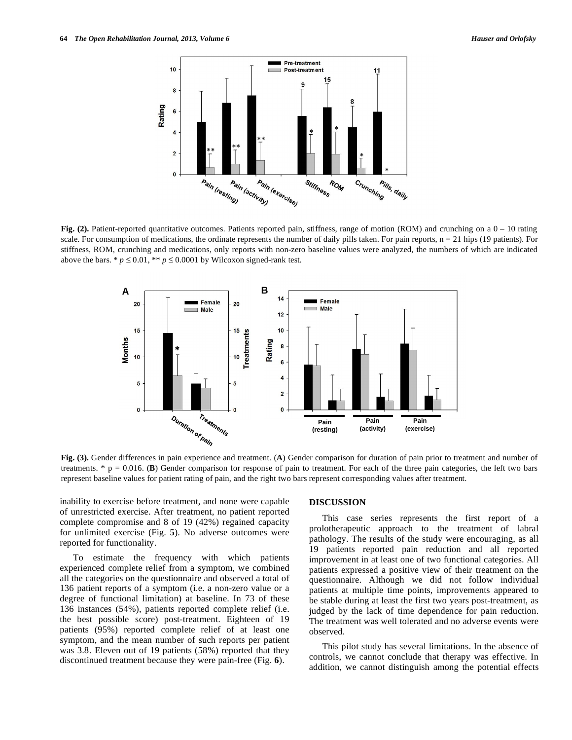

Fig. (2). Patient-reported quantitative outcomes. Patients reported pain, stiffness, range of motion (ROM) and crunching on a  $0 - 10$  rating scale. For consumption of medications, the ordinate represents the number of daily pills taken. For pain reports,  $n = 21$  hips (19 patients). For stiffness, ROM, crunching and medications, only reports with non-zero baseline values were analyzed, the numbers of which are indicated above the bars. \*  $p \le 0.01$ , \*\*  $p \le 0.0001$  by Wilcoxon signed-rank test.



**Fig. (3).** Gender differences in pain experience and treatment. (**A**) Gender comparison for duration of pain prior to treatment and number of treatments. \* p = 0.016. (**B**) Gender comparison for response of pain to treatment. For each of the three pain categories, the left two bars represent baseline values for patient rating of pain, and the right two bars represent corresponding values after treatment.

inability to exercise before treatment, and none were capable of unrestricted exercise. After treatment, no patient reported complete compromise and 8 of 19 (42%) regained capacity for unlimited exercise (Fig. **5**). No adverse outcomes were reported for functionality.

 To estimate the frequency with which patients experienced complete relief from a symptom, we combined all the categories on the questionnaire and observed a total of 136 patient reports of a symptom (i.e. a non-zero value or a degree of functional limitation) at baseline. In 73 of these 136 instances (54%), patients reported complete relief (i.e. the best possible score) post-treatment. Eighteen of 19 patients (95%) reported complete relief of at least one symptom, and the mean number of such reports per patient was 3.8. Eleven out of 19 patients (58%) reported that they discontinued treatment because they were pain-free (Fig. **6**).

## **DISCUSSION**

 This case series represents the first report of a prolotherapeutic approach to the treatment of labral pathology. The results of the study were encouraging, as all 19 patients reported pain reduction and all reported improvement in at least one of two functional categories. All patients expressed a positive view of their treatment on the questionnaire. Although we did not follow individual patients at multiple time points, improvements appeared to be stable during at least the first two years post-treatment, as judged by the lack of time dependence for pain reduction. The treatment was well tolerated and no adverse events were observed.

 This pilot study has several limitations. In the absence of controls, we cannot conclude that therapy was effective. In addition, we cannot distinguish among the potential effects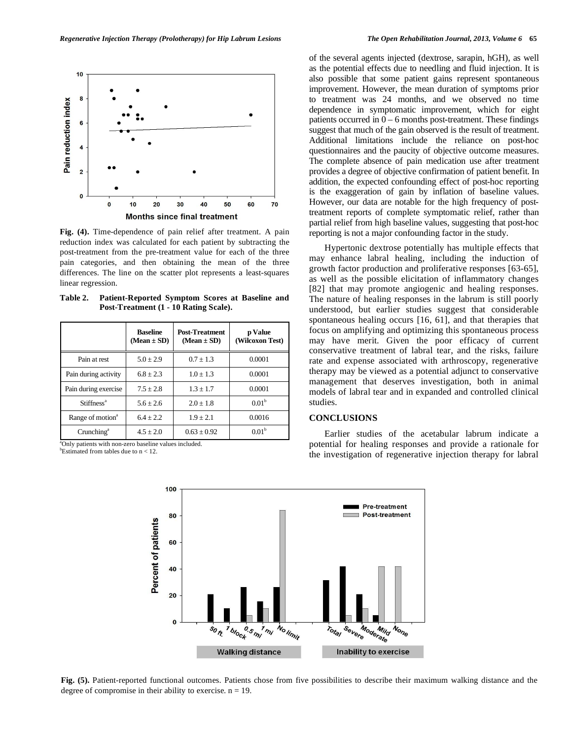

**Fig. (4).** Time-dependence of pain relief after treatment. A pain reduction index was calculated for each patient by subtracting the post-treatment from the pre-treatment value for each of the three pain categories, and then obtaining the mean of the three differences. The line on the scatter plot represents a least-squares linear regression.

**Table 2. Patient-Reported Symptom Scores at Baseline and Post-Treatment (1 - 10 Rating Scale).** 

|                              | <b>Baseline</b><br>$(Mean \pm SD)$ | <b>Post-Treatment</b><br>$(Mean \pm SD)$ | p Value<br>(Wilcoxon Test) |
|------------------------------|------------------------------------|------------------------------------------|----------------------------|
| Pain at rest                 | $5.0 \pm 2.9$                      | $0.7 + 1.3$                              | 0.0001                     |
| Pain during activity         | $6.8 + 2.3$                        | $1.0 + 1.3$                              | 0.0001                     |
| Pain during exercise         | $7.5 + 2.8$                        | $1.3 + 1.7$                              | 0.0001                     |
| Stiffness <sup>a</sup>       | $5.6 + 2.6$                        | $2.0 + 1.8$                              | 0.01 <sup>b</sup>          |
| Range of motion <sup>a</sup> | $6.4 + 2.2$                        | $1.9 + 2.1$                              | 0.0016                     |
| Crunching <sup>a</sup>       | $4.5 \pm 2.0$                      | $0.63 \pm 0.92$                          | 0.01 <sup>b</sup>          |

<sup>a</sup>Only patients with non-zero baseline values included. <sup>b</sup>Estimated from tables due to  $n < 12$ .

of the several agents injected (dextrose, sarapin, hGH), as well as the potential effects due to needling and fluid injection. It is also possible that some patient gains represent spontaneous improvement. However, the mean duration of symptoms prior to treatment was 24 months, and we observed no time dependence in symptomatic improvement, which for eight patients occurred in  $0 - 6$  months post-treatment. These findings suggest that much of the gain observed is the result of treatment. Additional limitations include the reliance on post-hoc questionnaires and the paucity of objective outcome measures. The complete absence of pain medication use after treatment provides a degree of objective confirmation of patient benefit. In addition, the expected confounding effect of post-hoc reporting is the exaggeration of gain by inflation of baseline values. However, our data are notable for the high frequency of posttreatment reports of complete symptomatic relief, rather than partial relief from high baseline values, suggesting that post-hoc reporting is not a major confounding factor in the study.

 Hypertonic dextrose potentially has multiple effects that may enhance labral healing, including the induction of growth factor production and proliferative responses [63-65], as well as the possible elicitation of inflammatory changes [82] that may promote angiogenic and healing responses. The nature of healing responses in the labrum is still poorly understood, but earlier studies suggest that considerable spontaneous healing occurs [16, 61], and that therapies that focus on amplifying and optimizing this spontaneous process may have merit. Given the poor efficacy of current conservative treatment of labral tear, and the risks, failure rate and expense associated with arthroscopy, regenerative therapy may be viewed as a potential adjunct to conservative management that deserves investigation, both in animal models of labral tear and in expanded and controlled clinical studies.

# **CONCLUSIONS**

 Earlier studies of the acetabular labrum indicate a potential for healing responses and provide a rationale for the investigation of regenerative injection therapy for labral



**Fig. (5).** Patient-reported functional outcomes. Patients chose from five possibilities to describe their maximum walking distance and the degree of compromise in their ability to exercise.  $n = 19$ .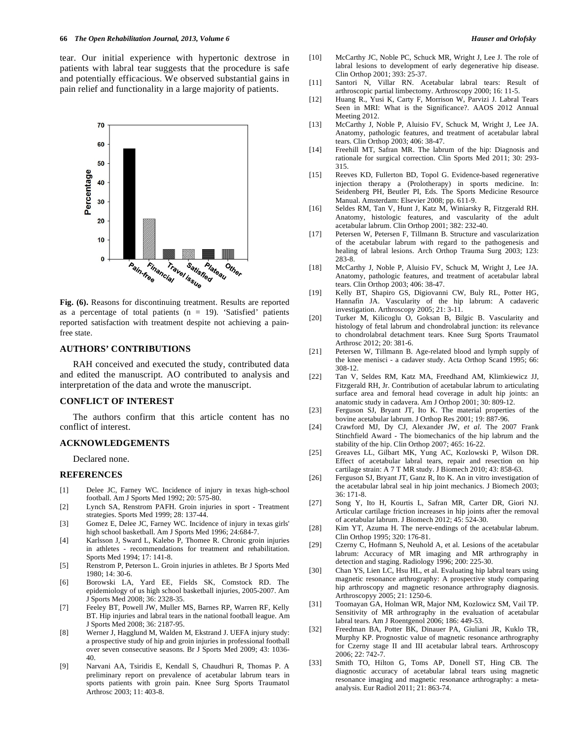tear. Our initial experience with hypertonic dextrose in patients with labral tear suggests that the procedure is safe and potentially efficacious. We observed substantial gains in pain relief and functionality in a large majority of patients.



**Fig. (6).** Reasons for discontinuing treatment. Results are reported as a percentage of total patients ( $n = 19$ ). 'Satisfied' patients reported satisfaction with treatment despite not achieving a painfree state.

# **AUTHORS' CONTRIBUTIONS**

 RAH conceived and executed the study, contributed data and edited the manuscript. AO contributed to analysis and interpretation of the data and wrote the manuscript.

#### **CONFLICT OF INTEREST**

 The authors confirm that this article content has no conflict of interest.

## **ACKNOWLEDGEMENTS**

Declared none.

#### **REFERENCES**

- [1] Delee JC, Farney WC. Incidence of injury in texas high-school football. Am J Sports Med 1992; 20: 575-80.
- [2] Lynch SA, Renstrom PAFH. Groin injuries in sport Treatment strategies. Sports Med 1999; 28: 137-44.
- [3] Gomez E, Delee JC, Farney WC. Incidence of injury in texas girls' high school basketball. Am J Sports Med 1996; 24:684-7.
- [4] Karlsson J, Sward L, Kalebo P, Thomee R. Chronic groin injuries in athletes - recommendations for treatment and rehabilitation. Sports Med 1994; 17: 141-8.
- [5] Renstrom P, Peterson L. Groin injuries in athletes. Br J Sports Med 1980; 14: 30-6.
- [6] Borowski LA, Yard EE, Fields SK, Comstock RD. The epidemiology of us high school basketball injuries, 2005-2007. Am J Sports Med 2008; 36: 2328-35.
- [7] Feeley BT, Powell JW, Muller MS, Barnes RP, Warren RF, Kelly BT. Hip injuries and labral tears in the national football league. Am J Sports Med 2008; 36: 2187-95.
- [8] Werner J, Hagglund M, Walden M, Ekstrand J. UEFA injury study: a prospective study of hip and groin injuries in professional football over seven consecutive seasons. Br J Sports Med 2009; 43: 1036- 40.
- [9] Narvani AA, Tsiridis E, Kendall S, Chaudhuri R, Thomas P. A preliminary report on prevalence of acetabular labrum tears in sports patients with groin pain. Knee Surg Sports Traumatol Arthrosc 2003; 11: 403-8.
- [10] McCarthy JC, Noble PC, Schuck MR, Wright J, Lee J. The role of labral lesions to development of early degenerative hip disease. Clin Orthop 2001; 393: 25-37.
- [11] Santori N, Villar RN. Acetabular labral tears: Result of arthroscopic partial limbectomy. Arthroscopy 2000; 16: 11-5.
- [12] Huang R., Yusi K, Carty F, Morrison W, Parvizi J. Labral Tears Seen in MRI: What is the Significance?. AAOS 2012 Annual Meeting 2012.
- [13] McCarthy J, Noble P, Aluisio FV, Schuck M, Wright J, Lee JA. Anatomy, pathologic features, and treatment of acetabular labral tears. Clin Orthop 2003; 406: 38-47.
- [14] Freehill MT, Safran MR. The labrum of the hip: Diagnosis and rationale for surgical correction. Clin Sports Med 2011; 30: 293- 315.
- [15] Reeves KD, Fullerton BD, Topol G. Evidence-based regenerative injection therapy a (Prolotherapy) in sports medicine. In: Seidenberg PH, Beutler PI, Eds. The Sports Medicine Resource Manual. Amsterdam: Elsevier 2008; pp. 611-9.
- [16] Seldes RM, Tan V, Hunt J, Katz M, Winiarsky R, Fitzgerald RH. Anatomy, histologic features, and vascularity of the adult acetabular labrum. Clin Orthop 2001; 382: 232-40.
- [17] Petersen W, Petersen F, Tillmann B. Structure and vascularization of the acetabular labrum with regard to the pathogenesis and healing of labral lesions. Arch Orthop Trauma Surg 2003; 123: 283-8.
- [18] McCarthy J, Noble P, Aluisio FV, Schuck M, Wright J, Lee JA. Anatomy, pathologic features, and treatment of acetabular labral tears. Clin Orthop 2003; 406: 38-47.
- [19] Kelly BT, Shapiro GS, Digiovanni CW, Buly RL, Potter HG, Hannafin JA. Vascularity of the hip labrum: A cadaveric investigation. Arthroscopy 2005; 21: 3-11.
- [20] Turker M, Kilicoglu O, Goksan B, Bilgic B. Vascularity and histology of fetal labrum and chondrolabral junction: its relevance to chondrolabral detachment tears. Knee Surg Sports Traumatol Arthrosc 2012; 20: 381-6.
- [21] Petersen W, Tillmann B. Age-related blood and lymph supply of the knee menisci - a cadaver study. Acta Orthop Scand 1995; 66: 308-12.
- [22] Tan V, Seldes RM, Katz MA, Freedhand AM, Klimkiewicz JJ, Fitzgerald RH, Jr. Contribution of acetabular labrum to articulating surface area and femoral head coverage in adult hip joints: an anatomic study in cadavera. Am J Orthop 2001; 30: 809-12.
- [23] Ferguson SJ, Bryant JT, Ito K. The material properties of the bovine acetabular labrum. J Orthop Res 2001; 19: 887-96.
- [24] Crawford MJ, Dy CJ, Alexander JW, *et al*. The 2007 Frank Stinchfield Award - The biomechanics of the hip labrum and the stability of the hip. Clin Orthop 2007; 465: 16-22.
- [25] Greaves LL, Gilbart MK, Yung AC, Kozlowski P, Wilson DR. Effect of acetabular labral tears, repair and resection on hip cartilage strain: A 7 T MR study. J Biomech 2010; 43: 858-63.
- [26] Ferguson SJ, Bryant JT, Ganz R, Ito K. An in vitro investigation of the acetabular labral seal in hip joint mechanics. J Biomech 2003; 36: 171-8.
- [27] Song Y, Ito H, Kourtis L, Safran MR, Carter DR, Giori NJ. Articular cartilage friction increases in hip joints after the removal of acetabular labrum. J Biomech 2012; 45: 524-30.
- [28] Kim YT, Azuma H. The nerve-endings of the acetabular labrum. Clin Orthop 1995; 320: 176-81.
- [29] Czerny C, Hofmann S, Neuhold A, et al. Lesions of the acetabular labrum: Accuracy of MR imaging and MR arthrography in detection and staging. Radiology 1996; 200: 225-30.
- [30] Chan YS, Lien LC, Hsu HL, et al. Evaluating hip labral tears using magnetic resonance arthrography: A prospective study comparing hip arthroscopy and magnetic resonance arthrography diagnosis. Arthroscopyy 2005; 21: 1250-6.
- [31] Toomayan GA, Holman WR, Major NM, Kozlowicz SM, Vail TP. Sensitivity of MR arthrography in the evaluation of acetabular labral tears. Am J Roentgenol 2006; 186: 449-53.
- [32] Freedman BA, Potter BK, Dinauer PA, Giuliani JR, Kuklo TR, Murphy KP. Prognostic value of magnetic resonance arthrography for Czerny stage II and III acetabular labral tears. Arthroscopy 2006; 22: 742-7.
- [33] Smith TO, Hilton G, Toms AP, Donell ST, Hing CB. The diagnostic accuracy of acetabular labral tears using magnetic resonance imaging and magnetic resonance arthrography: a metaanalysis. Eur Radiol 2011; 21: 863-74.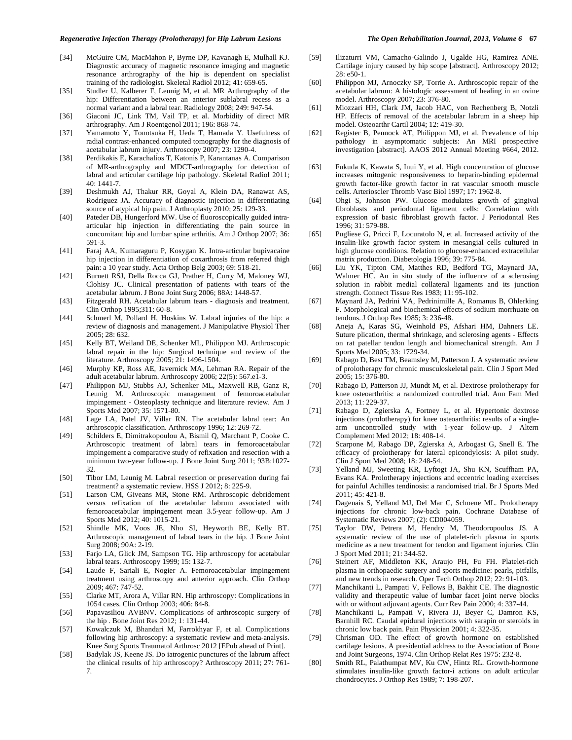- [34] McGuire CM, MacMahon P, Byrne DP, Kavanagh E, Mulhall KJ. Diagnostic accuracy of magnetic resonance imaging and magnetic resonance arthrography of the hip is dependent on specialist training of the radiologist. Skeletal Radiol 2012; 41: 659-65.
- [35] Studler U, Kalberer F, Leunig M, et al. MR Arthrography of the hip: Differentiation between an anterior sublabral recess as a normal variant and a labral tear. Radiology 2008; 249: 947-54.
- [36] Giaconi JC, Link TM, Vail TP, et al. Morbidity of direct MR arthrography. Am J Roentgenol 2011; 196: 868-74.
- [37] Yamamoto Y, Tonotsuka H, Ueda T, Hamada Y. Usefulness of radial contrast-enhanced computed tomography for the diagnosis of acetabular labrum injury. Arthroscopy 2007; 23: 1290-4.
- [38] Perdikakis E, Karachalios T, Katonis P, Karantanas A. Comparison of MR-arthrography and MDCT-arthrography for detection of labral and articular cartilage hip pathology. Skeletal Radiol 2011; 40: 1441-7.
- [39] Deshmukh AJ, Thakur RR, Goyal A, Klein DA, Ranawat AS, Rodriguez JA. Accuracy of diagnostic injection in differentiating source of atypical hip pain. J Arthroplasty 2010; 25: 129-33.
- [40] Pateder DB, Hungerford MW. Use of fluoroscopically guided intraarticular hip injection in differentiating the pain source in concomitant hip and lumbar spine arthritis. Am J Orthop 2007; 36: 591-3.
- [41] Faraj AA, Kumaraguru P, Kosygan K. Intra-articular bupivacaine hip injection in differentiation of coxarthrosis from referred thigh pain: a 10 year study. Acta Orthop Belg 2003; 69: 518-21.
- [42] Burnett RSJ, Della Rocca GJ, Prather H, Curry M, Maloney WJ, Clohisy JC. Clinical presentation of patients with tears of the acetabular labrum. J Bone Joint Surg 2006; 88A: 1448-57.
- [43] Fitzgerald RH. Acetabular labrum tears diagnosis and treatment. Clin Orthop 1995;311: 60-8.
- [44] Schmerl M, Pollard H, Hoskins W. Labral injuries of the hip: a review of diagnosis and management. J Manipulative Physiol Ther 2005; 28: 632.
- [45] Kelly BT, Weiland DE, Schenker ML, Philippon MJ. Arthroscopic labral repair in the hip: Surgical technique and review of the literature. Arthroscopy 2005; 21: 1496-1504.
- [46] Murphy KP, Ross AE, Javernick MA, Lehman RA. Repair of the adult acetabular labrum. Arthroscopy 2006; 22(5): 567.e1-3.
- [47] Philippon MJ, Stubbs AJ, Schenker ML, Maxwell RB, Ganz R, Leunig M. Arthroscopic management of femoroacetabular impingement - Osteoplasty technique and literature review. Am J Sports Med 2007; 35: 1571-80.
- [48] Lage LA, Patel JV, Villar RN. The acetabular labral tear: An arthroscopic classification. Arthroscopy 1996; 12: 269-72.
- [49] Schilders E, Dimitrakopoulou A, Bismil Q, Marchant P, Cooke C. Arthroscopic treatment of labral tears in femoroacetabular impingement a comparative study of refixation and resection with a minimum two-year follow-up. J Bone Joint Surg 2011; 93B:1027- 32.
- [50] Tibor LM, Leunig M. Labral resection or preservation during fai treatment? a systematic review. HSS J 2012; 8: 225-9.
- [51] Larson CM, Giveans MR, Stone RM. Arthroscopic debridement versus refixation of the acetabular labrum associated with femoroacetabular impingement mean 3.5-year follow-up. Am J Sports Med 2012; 40: 1015-21.
- [52] Shindle MK, Voos JE, Nho SI, Heyworth BE, Kelly BT. Arthroscopic management of labral tears in the hip. J Bone Joint Surg 2008; 90A: 2-19.
- [53] Farjo LA, Glick JM, Sampson TG. Hip arthroscopy for acetabular labral tears. Arthroscopy 1999; 15: 132-7.
- [54] Laude F, Sariali E, Nogier A. Femoroacetabular impingement treatment using arthroscopy and anterior approach. Clin Orthop 2009; 467: 747-52.
- [55] Clarke MT, Arora A, Villar RN. Hip arthroscopy: Complications in 1054 cases. Clin Orthop 2003; 406: 84-8.
- [56] Papavasiliou AVBNV. Complications of arthroscopic surgery of the hip . Bone Joint Res 2012; 1: 131-44.
- [57] Kowalczuk M, Bhandari M, Farrokhyar F, et al. Complications following hip arthroscopy: a systematic review and meta-analysis. Knee Surg Sports Traumatol Arthrosc 2012 [EPub ahead of Print].
- [58] Badylak JS, Keene JS. Do iatrogenic punctures of the labrum affect the clinical results of hip arthroscopy? Arthroscopy 2011; 27: 761- 7.
- [59] Ilizaturri VM, Camacho-Galindo J, Ugalde HG, Ramirez ANE. Cartilage injury caused by hip scope [abstract]. Arthroscopy 2012; 28: e50-1.
- [60] Philippon MJ, Arnoczky SP, Torrie A. Arthroscopic repair of the acetabular labrum: A histologic assessment of healing in an ovine model. Arthroscopy 2007; 23: 376-80.
- [61] Miozzari HH, Clark JM, Jacob HAC, von Rechenberg B, Notzli HP. Effects of removal of the acetabular labrum in a sheep hip model. Osteoarthr Cartil 2004; 12: 419-30.
- [62] Register B, Pennock AT, Philippon MJ, et al. Prevalence of hip pathology in asymptomatic subjects: An MRI prospective investigation [abstract]. AAOS 2012 Annual Meeting #664, 2012.
- [63] Fukuda K, Kawata S, Inui Y, et al. High concentration of glucose increases mitogenic responsiveness to heparin-binding epidermal growth factor-like growth factor in rat vascular smooth muscle cells. Arterioscler Thromb Vasc Biol 1997; 17: 1962-8.
- [64] Ohgi S, Johnson PW. Glucose modulates growth of gingival fibroblasts and periodontal ligament cells: Correlation with expression of basic fibroblast growth factor. J Periodontal Res 1996; 31: 579-88.
- [65] Pugliese G, Pricci F, Locuratolo N, et al. Increased activity of the insulin-like growth factor system in mesangial cells cultured in high glucose conditions. Relation to glucose-enhanced extracellular matrix production. Diabetologia 1996; 39: 775-84.
- [66] Liu YK, Tipton CM, Matthes RD, Bedford TG, Maynard JA, Walmer HC. An in situ study of the influence of a sclerosing solution in rabbit medial collateral ligaments and its junction strength. Connect Tissue Res 1983; 11: 95-102.
- [67] Maynard JA, Pedrini VA, Pedrinimille A, Romanus B, Ohlerking F. Morphological and biochemical effects of sodium morrhuate on tendons. J Orthop Res 1985; 3: 236-48.
- [68] Aneja A, Karas SG, Weinhold PS, Afshari HM, Dahners LE. Suture plication, thermal shrinkage, and sclerosing agents - Effects on rat patellar tendon length and biomechanical strength. Am J Sports Med 2005; 33: 1729-34.
- [69] Rabago D, Best TM, Beamsley M, Patterson J. A systematic review of prolotherapy for chronic musculoskeletal pain. Clin J Sport Med 2005; 15: 376-80.
- [70] Rabago D, Patterson JJ, Mundt M, et al. Dextrose prolotherapy for knee osteoarthritis: a randomized controlled trial. Ann Fam Med 2013; 11: 229-37.
- [71] Rabago D, Zgierska A, Fortney L, et al. Hypertonic dextrose injections (prolotherapy) for knee osteoarthritis: results of a singlearm uncontrolled study with 1-year follow-up. J Altern Complement Med 2012; 18: 408-14.
- [72] Scarpone M, Rabago DP, Zgierska A, Arbogast G, Snell E. The efficacy of prolotherapy for lateral epicondylosis: A pilot study. Clin J Sport Med 2008; 18: 248-54.
- [73] Yelland MJ, Sweeting KR, Lyftogt JA, Shu KN, Scuffham PA, Evans KA. Prolotherapy injections and eccentric loading exercises for painful Achilles tendinosis: a randomised trial. Br J Sports Med 2011; 45: 421-8.
- [74] Dagenais S, Yelland MJ, Del Mar C, Schoene ML. Prolotherapy injections for chronic low-back pain. Cochrane Database of Systematic Reviews 2007; (2): CD004059.
- [75] Taylor DW, Petrera M, Hendry M, Theodoropoulos JS. A systematic review of the use of platelet-rich plasma in sports medicine as a new treatment for tendon and ligament injuries. Clin J Sport Med 2011; 21: 344-52.
- [76] Steinert AF, Middleton KK, Araujo PH, Fu FH. Platelet-rich plasma in orthopaedic surgery and sports medicine: pearls, pitfalls, and new trends in research. Oper Tech Orthop 2012; 22: 91-103.
- [77] Manchikanti L, Pampati V, Fellows B, Bakhit CE. The diagnostic validity and therapeutic value of lumbar facet joint nerve blocks with or without adjuvant agents. Curr Rev Pain 2000; 4: 337-44.
- [78] Manchikanti L, Pampati V, Rivera JJ, Beyer C, Damron KS, Barnhill RC. Caudal epidural injections with sarapin or steroids in chronic low back pain. Pain Physician 2001; 4: 322-35.
- [79] Chrisman OD. The effect of growth hormone on established cartilage lesions. A presidential address to the Association of Bone and Joint Surgeons, 1974. Clin Orthop Relat Res 1975: 232-8.
- [80] Smith RL, Palathumpat MV, Ku CW, Hintz RL. Growth-hormone stimulates insulin-like growth factor-i actions on adult articular chondrocytes. J Orthop Res 1989; 7: 198-207.